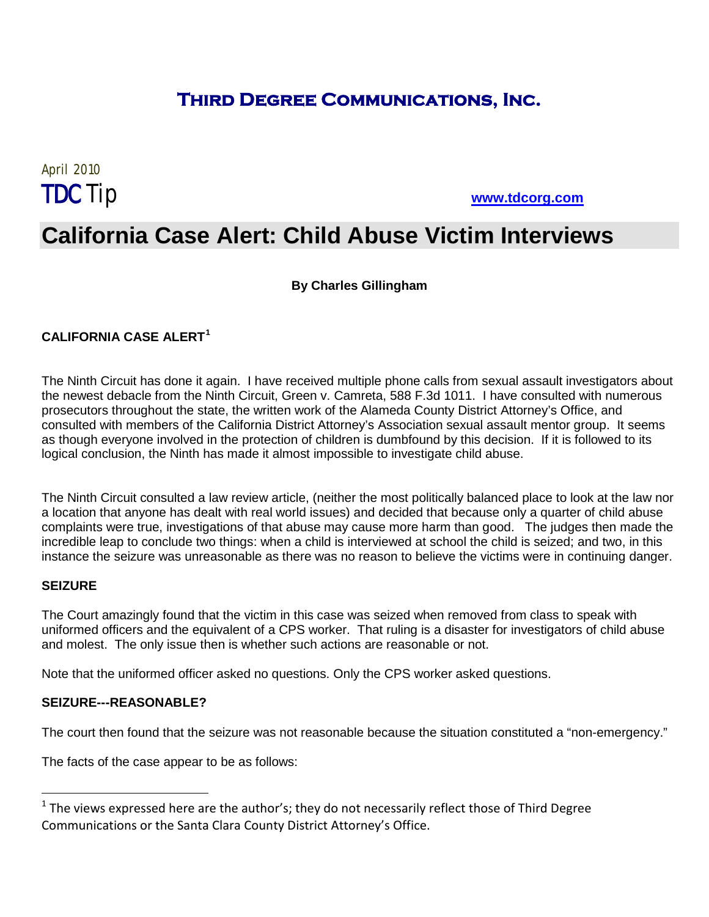### **Third Degree Communications, Inc.**

# April 2010

TDCTip **[www.tdcorg.com](http://www.tdcorg.com/)**

## **California Case Alert: Child Abuse Victim Interviews**

#### **By Charles Gillingham**

#### **CALIFORNIA CASE ALERT[1](#page-0-0)**

The Ninth Circuit has done it again. I have received multiple phone calls from sexual assault investigators about the newest debacle from the Ninth Circuit, Green v. Camreta, 588 F.3d 1011. I have consulted with numerous prosecutors throughout the state, the written work of the Alameda County District Attorney's Office, and consulted with members of the California District Attorney's Association sexual assault mentor group. It seems as though everyone involved in the protection of children is dumbfound by this decision. If it is followed to its logical conclusion, the Ninth has made it almost impossible to investigate child abuse.

The Ninth Circuit consulted a law review article, (neither the most politically balanced place to look at the law nor a location that anyone has dealt with real world issues) and decided that because only a quarter of child abuse complaints were true, investigations of that abuse may cause more harm than good. The judges then made the incredible leap to conclude two things: when a child is interviewed at school the child is seized; and two, in this instance the seizure was unreasonable as there was no reason to believe the victims were in continuing danger.

#### **SEIZURE**

The Court amazingly found that the victim in this case was seized when removed from class to speak with uniformed officers and the equivalent of a CPS worker. That ruling is a disaster for investigators of child abuse and molest. The only issue then is whether such actions are reasonable or not.

Note that the uniformed officer asked no questions. Only the CPS worker asked questions.

#### **SEIZURE---REASONABLE?**

The court then found that the seizure was not reasonable because the situation constituted a "non-emergency."

The facts of the case appear to be as follows:

<span id="page-0-0"></span> $1$  The views expressed here are the author's; they do not necessarily reflect those of Third Degree Communications or the Santa Clara County District Attorney's Office.